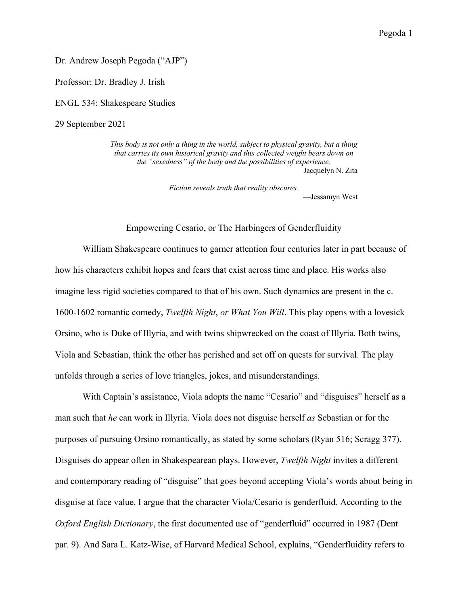Dr. Andrew Joseph Pegoda ("AJP")

Professor: Dr. Bradley J. Irish

ENGL 534: Shakespeare Studies

29 September 2021

*This body is not only a thing in the world, subject to physical gravity, but a thing that carries its own historical gravity and this collected weight bears down on the "sexedness" of the body and the possibilities of experience.* —Jacquelyn N. Zita

> *Fiction reveals truth that reality obscures.* —Jessamyn West

Empowering Cesario, or The Harbingers of Genderfluidity

William Shakespeare continues to garner attention four centuries later in part because of how his characters exhibit hopes and fears that exist across time and place. His works also imagine less rigid societies compared to that of his own. Such dynamics are present in the c. 1600-1602 romantic comedy, *Twelfth Night*, *or What You Will*. This play opens with a lovesick Orsino, who is Duke of Illyria, and with twins shipwrecked on the coast of Illyria. Both twins, Viola and Sebastian, think the other has perished and set off on quests for survival. The play unfolds through a series of love triangles, jokes, and misunderstandings.

With Captain's assistance, Viola adopts the name "Cesario" and "disguises" herself as a man such that *he* can work in Illyria. Viola does not disguise herself *as* Sebastian or for the purposes of pursuing Orsino romantically, as stated by some scholars (Ryan 516; Scragg 377). Disguises do appear often in Shakespearean plays. However, *Twelfth Night* invites a different and contemporary reading of "disguise" that goes beyond accepting Viola's words about being in disguise at face value. I argue that the character Viola/Cesario is genderfluid. According to the *Oxford English Dictionary*, the first documented use of "genderfluid" occurred in 1987 (Dent par. 9). And Sara L. Katz-Wise, of Harvard Medical School, explains, "Genderfluidity refers to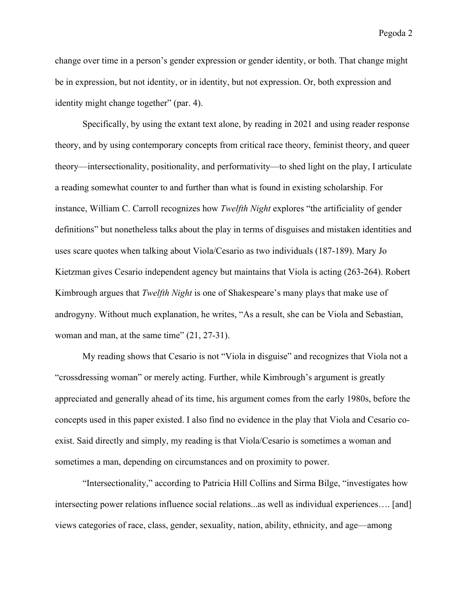change over time in a person's gender expression or gender identity, or both. That change might be in expression, but not identity, or in identity, but not expression. Or, both expression and identity might change together" (par. 4).

Specifically, by using the extant text alone, by reading in 2021 and using reader response theory, and by using contemporary concepts from critical race theory, feminist theory, and queer theory—intersectionality, positionality, and performativity—to shed light on the play, I articulate a reading somewhat counter to and further than what is found in existing scholarship. For instance, William C. Carroll recognizes how *Twelfth Night* explores "the artificiality of gender definitions" but nonetheless talks about the play in terms of disguises and mistaken identities and uses scare quotes when talking about Viola/Cesario as two individuals (187-189). Mary Jo Kietzman gives Cesario independent agency but maintains that Viola is acting (263-264). Robert Kimbrough argues that *Twelfth Night* is one of Shakespeare's many plays that make use of androgyny. Without much explanation, he writes, "As a result, she can be Viola and Sebastian, woman and man, at the same time"  $(21, 27-31)$ .

My reading shows that Cesario is not "Viola in disguise" and recognizes that Viola not a "crossdressing woman" or merely acting. Further, while Kimbrough's argument is greatly appreciated and generally ahead of its time, his argument comes from the early 1980s, before the concepts used in this paper existed. I also find no evidence in the play that Viola and Cesario coexist. Said directly and simply, my reading is that Viola/Cesario is sometimes a woman and sometimes a man, depending on circumstances and on proximity to power.

"Intersectionality," according to Patricia Hill Collins and Sirma Bilge, "investigates how intersecting power relations influence social relations...as well as individual experiences…. [and] views categories of race, class, gender, sexuality, nation, ability, ethnicity, and age—among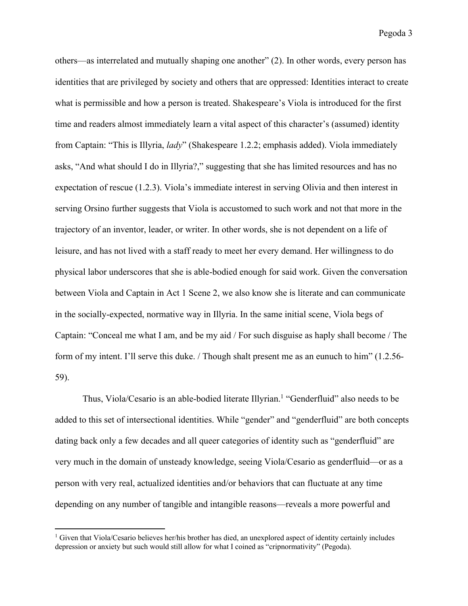others—as interrelated and mutually shaping one another" (2). In other words, every person has identities that are privileged by society and others that are oppressed: Identities interact to create what is permissible and how a person is treated. Shakespeare's Viola is introduced for the first time and readers almost immediately learn a vital aspect of this character's (assumed) identity from Captain: "This is Illyria, *lady*" (Shakespeare 1.2.2; emphasis added). Viola immediately asks, "And what should I do in Illyria?," suggesting that she has limited resources and has no expectation of rescue (1.2.3). Viola's immediate interest in serving Olivia and then interest in serving Orsino further suggests that Viola is accustomed to such work and not that more in the trajectory of an inventor, leader, or writer. In other words, she is not dependent on a life of leisure, and has not lived with a staff ready to meet her every demand. Her willingness to do physical labor underscores that she is able-bodied enough for said work. Given the conversation between Viola and Captain in Act 1 Scene 2, we also know she is literate and can communicate in the socially-expected, normative way in Illyria. In the same initial scene, Viola begs of Captain: "Conceal me what I am, and be my aid / For such disguise as haply shall become / The form of my intent. I'll serve this duke. / Though shalt present me as an eunuch to him" (1.2.56- 59).

Thus, Viola/Cesario is an able-bodied literate Illyrian. <sup>1</sup> "Genderfluid" also needs to be added to this set of intersectional identities. While "gender" and "genderfluid" are both concepts dating back only a few decades and all queer categories of identity such as "genderfluid" are very much in the domain of unsteady knowledge, seeing Viola/Cesario as genderfluid—or as a person with very real, actualized identities and/or behaviors that can fluctuate at any time depending on any number of tangible and intangible reasons—reveals a more powerful and

<sup>&</sup>lt;sup>1</sup> Given that Viola/Cesario believes her/his brother has died, an unexplored aspect of identity certainly includes depression or anxiety but such would still allow for what I coined as "cripnormativity" (Pegoda).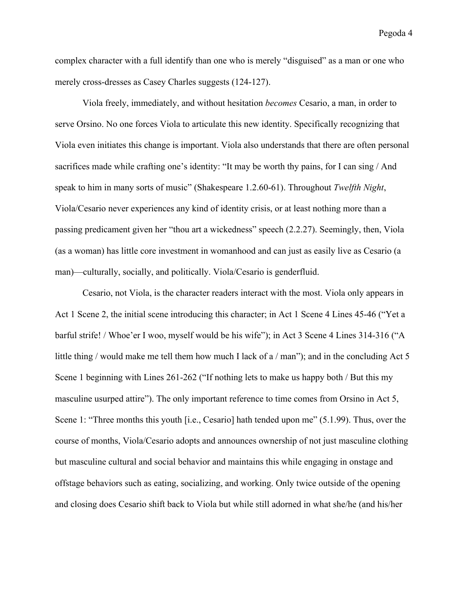complex character with a full identify than one who is merely "disguised" as a man or one who merely cross-dresses as Casey Charles suggests (124-127).

Viola freely, immediately, and without hesitation *becomes* Cesario, a man, in order to serve Orsino. No one forces Viola to articulate this new identity. Specifically recognizing that Viola even initiates this change is important. Viola also understands that there are often personal sacrifices made while crafting one's identity: "It may be worth thy pains, for I can sing / And speak to him in many sorts of music" (Shakespeare 1.2.60-61). Throughout *Twelfth Night*, Viola/Cesario never experiences any kind of identity crisis, or at least nothing more than a passing predicament given her "thou art a wickedness" speech (2.2.27). Seemingly, then, Viola (as a woman) has little core investment in womanhood and can just as easily live as Cesario (a man)—culturally, socially, and politically. Viola/Cesario is genderfluid.

Cesario, not Viola, is the character readers interact with the most. Viola only appears in Act 1 Scene 2, the initial scene introducing this character; in Act 1 Scene 4 Lines 45-46 ("Yet a barful strife! / Whoe'er I woo, myself would be his wife"); in Act 3 Scene 4 Lines 314-316 ("A little thing / would make me tell them how much I lack of a / man"); and in the concluding Act 5 Scene 1 beginning with Lines 261-262 ("If nothing lets to make us happy both / But this my masculine usurped attire"). The only important reference to time comes from Orsino in Act 5, Scene 1: "Three months this youth [i.e., Cesario] hath tended upon me" (5.1.99). Thus, over the course of months, Viola/Cesario adopts and announces ownership of not just masculine clothing but masculine cultural and social behavior and maintains this while engaging in onstage and offstage behaviors such as eating, socializing, and working. Only twice outside of the opening and closing does Cesario shift back to Viola but while still adorned in what she/he (and his/her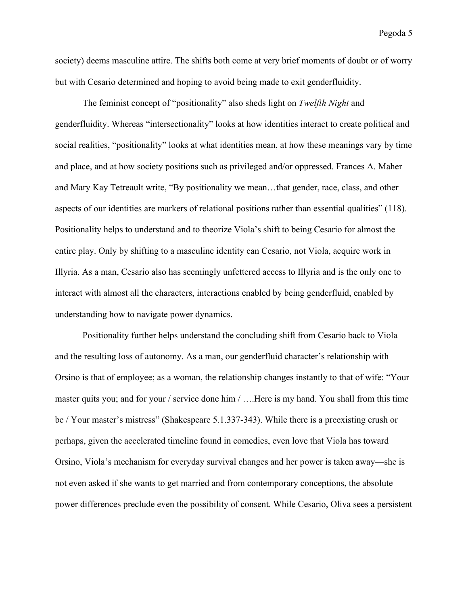society) deems masculine attire. The shifts both come at very brief moments of doubt or of worry but with Cesario determined and hoping to avoid being made to exit genderfluidity.

The feminist concept of "positionality" also sheds light on *Twelfth Night* and genderfluidity. Whereas "intersectionality" looks at how identities interact to create political and social realities, "positionality" looks at what identities mean, at how these meanings vary by time and place, and at how society positions such as privileged and/or oppressed. Frances A. Maher and Mary Kay Tetreault write, "By positionality we mean…that gender, race, class, and other aspects of our identities are markers of relational positions rather than essential qualities" (118). Positionality helps to understand and to theorize Viola's shift to being Cesario for almost the entire play. Only by shifting to a masculine identity can Cesario, not Viola, acquire work in Illyria. As a man, Cesario also has seemingly unfettered access to Illyria and is the only one to interact with almost all the characters, interactions enabled by being genderfluid, enabled by understanding how to navigate power dynamics.

Positionality further helps understand the concluding shift from Cesario back to Viola and the resulting loss of autonomy. As a man, our genderfluid character's relationship with Orsino is that of employee; as a woman, the relationship changes instantly to that of wife: "Your master quits you; and for your / service done him / ….Here is my hand. You shall from this time be / Your master's mistress" (Shakespeare 5.1.337-343). While there is a preexisting crush or perhaps, given the accelerated timeline found in comedies, even love that Viola has toward Orsino, Viola's mechanism for everyday survival changes and her power is taken away—she is not even asked if she wants to get married and from contemporary conceptions, the absolute power differences preclude even the possibility of consent. While Cesario, Oliva sees a persistent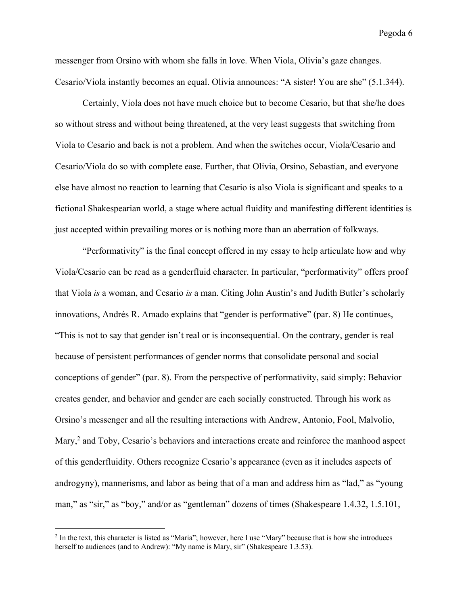messenger from Orsino with whom she falls in love. When Viola, Olivia's gaze changes. Cesario/Viola instantly becomes an equal. Olivia announces: "A sister! You are she" (5.1.344).

Certainly, Viola does not have much choice but to become Cesario, but that she/he does so without stress and without being threatened, at the very least suggests that switching from Viola to Cesario and back is not a problem. And when the switches occur, Viola/Cesario and Cesario/Viola do so with complete ease. Further, that Olivia, Orsino, Sebastian, and everyone else have almost no reaction to learning that Cesario is also Viola is significant and speaks to a fictional Shakespearian world, a stage where actual fluidity and manifesting different identities is just accepted within prevailing mores or is nothing more than an aberration of folkways.

"Performativity" is the final concept offered in my essay to help articulate how and why Viola/Cesario can be read as a genderfluid character. In particular, "performativity" offers proof that Viola *is* a woman, and Cesario *is* a man. Citing John Austin's and Judith Butler's scholarly innovations, Andrés R. Amado explains that "gender is performative" (par. 8) He continues, "This is not to say that gender isn't real or is inconsequential. On the contrary, gender is real because of persistent performances of gender norms that consolidate personal and social conceptions of gender" (par. 8). From the perspective of performativity, said simply: Behavior creates gender, and behavior and gender are each socially constructed. Through his work as Orsino's messenger and all the resulting interactions with Andrew, Antonio, Fool, Malvolio, Mary,<sup>2</sup> and Toby, Cesario's behaviors and interactions create and reinforce the manhood aspect of this genderfluidity. Others recognize Cesario's appearance (even as it includes aspects of androgyny), mannerisms, and labor as being that of a man and address him as "lad," as "young man," as "sir," as "boy," and/or as "gentleman" dozens of times (Shakespeare 1.4.32, 1.5.101,

 $2$  In the text, this character is listed as "Maria"; however, here I use "Mary" because that is how she introduces herself to audiences (and to Andrew): "My name is Mary, sir" (Shakespeare 1.3.53).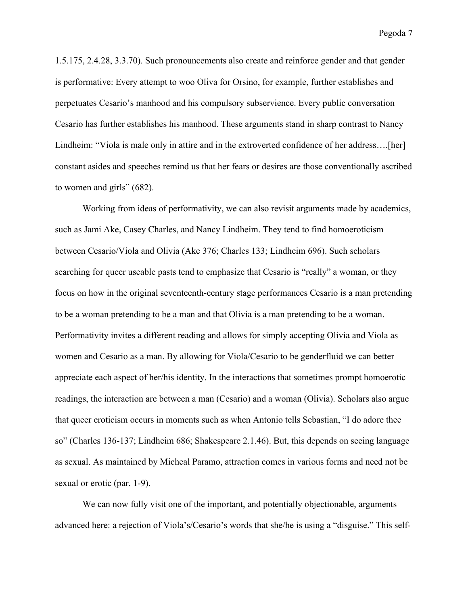1.5.175, 2.4.28, 3.3.70). Such pronouncements also create and reinforce gender and that gender is performative: Every attempt to woo Oliva for Orsino, for example, further establishes and perpetuates Cesario's manhood and his compulsory subservience. Every public conversation Cesario has further establishes his manhood. These arguments stand in sharp contrast to Nancy Lindheim: "Viola is male only in attire and in the extroverted confidence of her address….[her] constant asides and speeches remind us that her fears or desires are those conventionally ascribed to women and girls" (682).

Working from ideas of performativity, we can also revisit arguments made by academics, such as Jami Ake, Casey Charles, and Nancy Lindheim. They tend to find homoeroticism between Cesario/Viola and Olivia (Ake 376; Charles 133; Lindheim 696). Such scholars searching for queer useable pasts tend to emphasize that Cesario is "really" a woman, or they focus on how in the original seventeenth-century stage performances Cesario is a man pretending to be a woman pretending to be a man and that Olivia is a man pretending to be a woman. Performativity invites a different reading and allows for simply accepting Olivia and Viola as women and Cesario as a man. By allowing for Viola/Cesario to be genderfluid we can better appreciate each aspect of her/his identity. In the interactions that sometimes prompt homoerotic readings, the interaction are between a man (Cesario) and a woman (Olivia). Scholars also argue that queer eroticism occurs in moments such as when Antonio tells Sebastian, "I do adore thee so" (Charles 136-137; Lindheim 686; Shakespeare 2.1.46). But, this depends on seeing language as sexual. As maintained by Micheal Paramo, attraction comes in various forms and need not be sexual or erotic (par. 1-9).

We can now fully visit one of the important, and potentially objectionable, arguments advanced here: a rejection of Viola's/Cesario's words that she/he is using a "disguise." This self-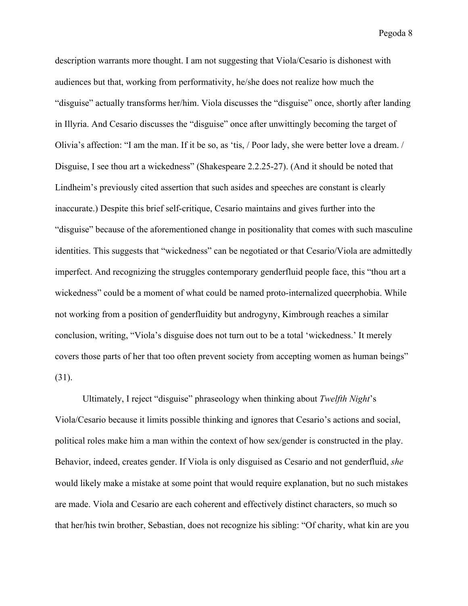description warrants more thought. I am not suggesting that Viola/Cesario is dishonest with audiences but that, working from performativity, he/she does not realize how much the "disguise" actually transforms her/him. Viola discusses the "disguise" once, shortly after landing in Illyria. And Cesario discusses the "disguise" once after unwittingly becoming the target of Olivia's affection: "I am the man. If it be so, as 'tis, / Poor lady, she were better love a dream. / Disguise, I see thou art a wickedness" (Shakespeare 2.2.25-27). (And it should be noted that Lindheim's previously cited assertion that such asides and speeches are constant is clearly inaccurate.) Despite this brief self-critique, Cesario maintains and gives further into the "disguise" because of the aforementioned change in positionality that comes with such masculine identities. This suggests that "wickedness" can be negotiated or that Cesario/Viola are admittedly imperfect. And recognizing the struggles contemporary genderfluid people face, this "thou art a wickedness" could be a moment of what could be named proto-internalized queerphobia. While not working from a position of genderfluidity but androgyny, Kimbrough reaches a similar conclusion, writing, "Viola's disguise does not turn out to be a total 'wickedness.' It merely covers those parts of her that too often prevent society from accepting women as human beings" (31).

Ultimately, I reject "disguise" phraseology when thinking about *Twelfth Night*'s Viola/Cesario because it limits possible thinking and ignores that Cesario's actions and social, political roles make him a man within the context of how sex/gender is constructed in the play. Behavior, indeed, creates gender. If Viola is only disguised as Cesario and not genderfluid, *she* would likely make a mistake at some point that would require explanation, but no such mistakes are made. Viola and Cesario are each coherent and effectively distinct characters, so much so that her/his twin brother, Sebastian, does not recognize his sibling: "Of charity, what kin are you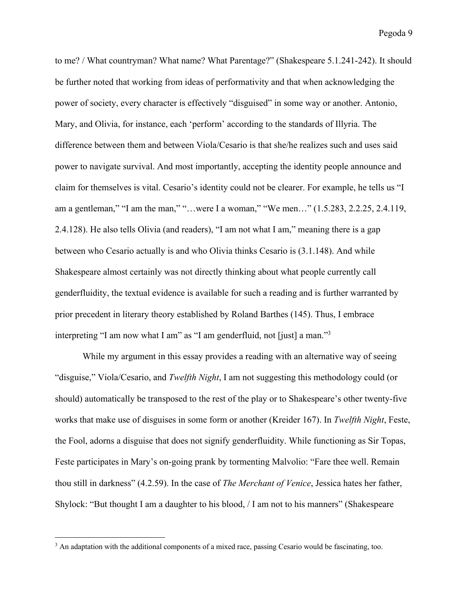to me? / What countryman? What name? What Parentage?" (Shakespeare 5.1.241-242). It should be further noted that working from ideas of performativity and that when acknowledging the power of society, every character is effectively "disguised" in some way or another. Antonio, Mary, and Olivia, for instance, each 'perform' according to the standards of Illyria. The difference between them and between Viola/Cesario is that she/he realizes such and uses said power to navigate survival. And most importantly, accepting the identity people announce and claim for themselves is vital. Cesario's identity could not be clearer. For example, he tells us "I am a gentleman," "I am the man," "…were I a woman," "We men…" (1.5.283, 2.2.25, 2.4.119, 2.4.128). He also tells Olivia (and readers), "I am not what I am," meaning there is a gap between who Cesario actually is and who Olivia thinks Cesario is (3.1.148). And while Shakespeare almost certainly was not directly thinking about what people currently call genderfluidity, the textual evidence is available for such a reading and is further warranted by prior precedent in literary theory established by Roland Barthes (145). Thus, I embrace interpreting "I am now what I am" as "I am genderfluid, not [just] a man."<sup>3</sup>

While my argument in this essay provides a reading with an alternative way of seeing "disguise," Viola/Cesario, and *Twelfth Night*, I am not suggesting this methodology could (or should) automatically be transposed to the rest of the play or to Shakespeare's other twenty-five works that make use of disguises in some form or another (Kreider 167). In *Twelfth Night*, Feste, the Fool, adorns a disguise that does not signify genderfluidity. While functioning as Sir Topas, Feste participates in Mary's on-going prank by tormenting Malvolio: "Fare thee well. Remain thou still in darkness" (4.2.59). In the case of *The Merchant of Venice*, Jessica hates her father, Shylock: "But thought I am a daughter to his blood, / I am not to his manners" (Shakespeare

<sup>&</sup>lt;sup>3</sup> An adaptation with the additional components of a mixed race, passing Cesario would be fascinating, too.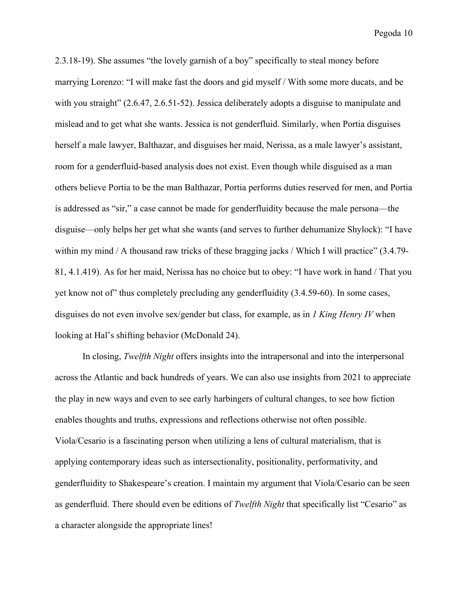2.3.18-19). She assumes "the lovely garnish of a boy" specifically to steal money before marrying Lorenzo: "I will make fast the doors and gid myself / With some more ducats, and be with you straight" (2.6.47, 2.6.51-52). Jessica deliberately adopts a disguise to manipulate and mislead and to get what she wants. Jessica is not genderfluid. Similarly, when Portia disguises herself a male lawyer, Balthazar, and disguises her maid, Nerissa, as a male lawyer's assistant, room for a genderfluid-based analysis does not exist. Even though while disguised as a man others believe Portia to be the man Balthazar, Portia performs duties reserved for men, and Portia is addressed as "sir," a case cannot be made for genderfluidity because the male persona—the disguise—only helps her get what she wants (and serves to further dehumanize Shylock): "I have within my mind / A thousand raw tricks of these bragging jacks / Which I will practice" (3.4.79-81, 4.1.419). As for her maid, Nerissa has no choice but to obey: "I have work in hand / That you yet know not of" thus completely precluding any genderfluidity (3.4.59-60). In some cases, disguises do not even involve sex/gender but class, for example, as in *1 King Henry IV* when looking at Hal's shifting behavior (McDonald 24).

In closing, *Twelfth Night* offers insights into the intrapersonal and into the interpersonal across the Atlantic and back hundreds of years. We can also use insights from 2021 to appreciate the play in new ways and even to see early harbingers of cultural changes, to see how fiction enables thoughts and truths, expressions and reflections otherwise not often possible. Viola/Cesario is a fascinating person when utilizing a lens of cultural materialism, that is applying contemporary ideas such as intersectionality, positionality, performativity, and genderfluidity to Shakespeare's creation. I maintain my argument that Viola/Cesario can be seen as genderfluid. There should even be editions of *Twelfth Night* that specifically list "Cesario" as a character alongside the appropriate lines!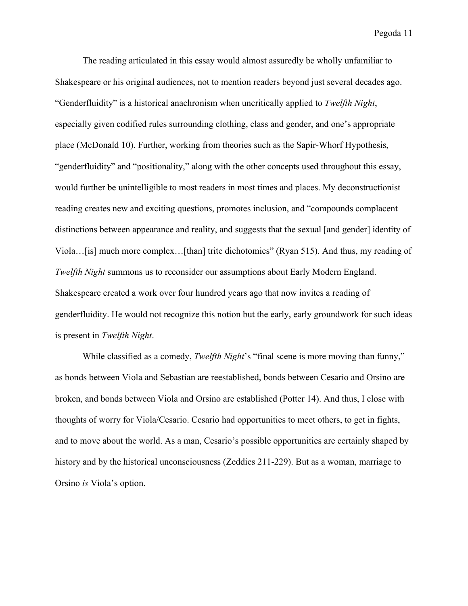The reading articulated in this essay would almost assuredly be wholly unfamiliar to Shakespeare or his original audiences, not to mention readers beyond just several decades ago. "Genderfluidity" is a historical anachronism when uncritically applied to *Twelfth Night*, especially given codified rules surrounding clothing, class and gender, and one's appropriate place (McDonald 10). Further, working from theories such as the Sapir-Whorf Hypothesis, "genderfluidity" and "positionality," along with the other concepts used throughout this essay, would further be unintelligible to most readers in most times and places. My deconstructionist reading creates new and exciting questions, promotes inclusion, and "compounds complacent distinctions between appearance and reality, and suggests that the sexual [and gender] identity of Viola…[is] much more complex…[than] trite dichotomies" (Ryan 515). And thus, my reading of *Twelfth Night* summons us to reconsider our assumptions about Early Modern England. Shakespeare created a work over four hundred years ago that now invites a reading of genderfluidity. He would not recognize this notion but the early, early groundwork for such ideas is present in *Twelfth Night*.

While classified as a comedy, *Twelfth Night*'s "final scene is more moving than funny," as bonds between Viola and Sebastian are reestablished, bonds between Cesario and Orsino are broken, and bonds between Viola and Orsino are established (Potter 14). And thus, I close with thoughts of worry for Viola/Cesario. Cesario had opportunities to meet others, to get in fights, and to move about the world. As a man, Cesario's possible opportunities are certainly shaped by history and by the historical unconsciousness (Zeddies 211-229). But as a woman, marriage to Orsino *is* Viola's option.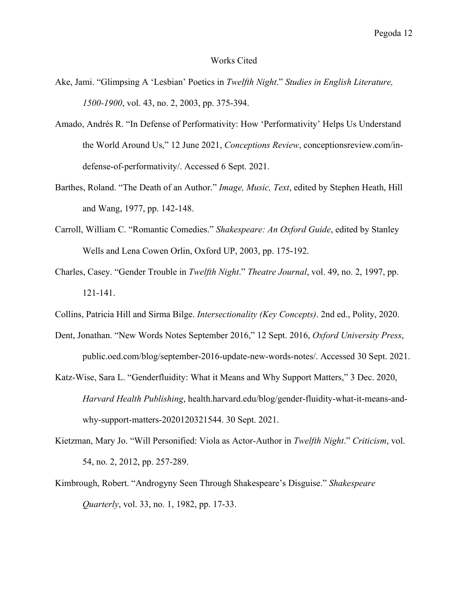## Works Cited

- Ake, Jami. "Glimpsing A 'Lesbian' Poetics in *Twelfth Night*." *Studies in English Literature, 1500-1900*, vol. 43, no. 2, 2003, pp. 375-394.
- Amado, Andrés R. "In Defense of Performativity: How 'Performativity' Helps Us Understand the World Around Us," 12 June 2021, *Conceptions Review*, conceptionsreview.com/indefense-of-performativity/. Accessed 6 Sept. 2021.
- Barthes, Roland. "The Death of an Author." *Image, Music, Text*, edited by Stephen Heath, Hill and Wang, 1977, pp. 142-148.
- Carroll, William C. "Romantic Comedies." *Shakespeare: An Oxford Guide*, edited by Stanley Wells and Lena Cowen Orlin, Oxford UP, 2003, pp. 175-192.
- Charles, Casey. "Gender Trouble in *Twelfth Night*." *Theatre Journal*, vol. 49, no. 2, 1997, pp. 121-141.
- Collins, Patricia Hill and Sirma Bilge. *Intersectionality (Key Concepts)*. 2nd ed., Polity, 2020.
- Dent, Jonathan. "New Words Notes September 2016," 12 Sept. 2016, *Oxford University Press*, public.oed.com/blog/september-2016-update-new-words-notes/. Accessed 30 Sept. 2021.
- Katz-Wise, Sara L. "Genderfluidity: What it Means and Why Support Matters," 3 Dec. 2020, *Harvard Health Publishing*, health.harvard.edu/blog/gender-fluidity-what-it-means-andwhy-support-matters-2020120321544. 30 Sept. 2021.
- Kietzman, Mary Jo. "Will Personified: Viola as Actor-Author in *Twelfth Night*." *Criticism*, vol. 54, no. 2, 2012, pp. 257-289.
- Kimbrough, Robert. "Androgyny Seen Through Shakespeare's Disguise." *Shakespeare Quarterly*, vol. 33, no. 1, 1982, pp. 17-33.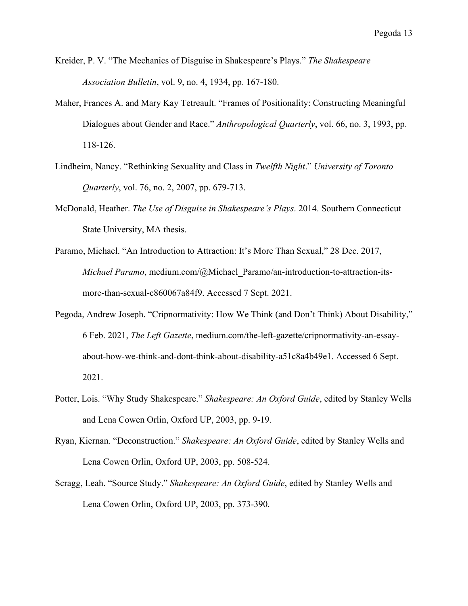- Kreider, P. V. "The Mechanics of Disguise in Shakespeare's Plays." *The Shakespeare Association Bulletin*, vol. 9, no. 4, 1934, pp. 167-180.
- Maher, Frances A. and Mary Kay Tetreault. "Frames of Positionality: Constructing Meaningful Dialogues about Gender and Race." *Anthropological Quarterly*, vol. 66, no. 3, 1993, pp. 118-126.
- Lindheim, Nancy. "Rethinking Sexuality and Class in *Twelfth Night*." *University of Toronto Quarterly*, vol. 76, no. 2, 2007, pp. 679-713.
- McDonald, Heather. *The Use of Disguise in Shakespeare's Plays*. 2014. Southern Connecticut State University, MA thesis.
- Paramo, Michael. "An Introduction to Attraction: It's More Than Sexual," 28 Dec. 2017, *Michael Paramo*, medium.com/@Michael\_Paramo/an-introduction-to-attraction-itsmore-than-sexual-c860067a84f9. Accessed 7 Sept. 2021.
- Pegoda, Andrew Joseph. "Cripnormativity: How We Think (and Don't Think) About Disability," 6 Feb. 2021, *The Left Gazette*, medium.com/the-left-gazette/cripnormativity-an-essayabout-how-we-think-and-dont-think-about-disability-a51c8a4b49e1. Accessed 6 Sept. 2021.
- Potter, Lois. "Why Study Shakespeare." *Shakespeare: An Oxford Guide*, edited by Stanley Wells and Lena Cowen Orlin, Oxford UP, 2003, pp. 9-19.
- Ryan, Kiernan. "Deconstruction." *Shakespeare: An Oxford Guide*, edited by Stanley Wells and Lena Cowen Orlin, Oxford UP, 2003, pp. 508-524.
- Scragg, Leah. "Source Study." *Shakespeare: An Oxford Guide*, edited by Stanley Wells and Lena Cowen Orlin, Oxford UP, 2003, pp. 373-390.